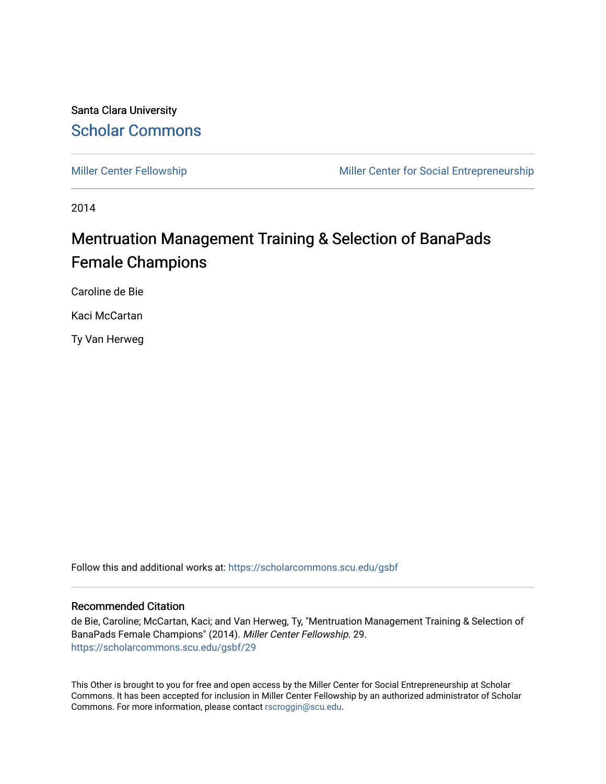#### Santa Clara University [Scholar Commons](https://scholarcommons.scu.edu/)

[Miller Center Fellowship](https://scholarcommons.scu.edu/gsbf) Miller Center for Social Entrepreneurship

2014

### Mentruation Management Training & Selection of BanaPads Female Champions

Caroline de Bie

Kaci McCartan

Ty Van Herweg

Follow this and additional works at: [https://scholarcommons.scu.edu/gsbf](https://scholarcommons.scu.edu/gsbf?utm_source=scholarcommons.scu.edu%2Fgsbf%2F29&utm_medium=PDF&utm_campaign=PDFCoverPages)

#### Recommended Citation

de Bie, Caroline; McCartan, Kaci; and Van Herweg, Ty, "Mentruation Management Training & Selection of BanaPads Female Champions" (2014). Miller Center Fellowship. 29. [https://scholarcommons.scu.edu/gsbf/29](https://scholarcommons.scu.edu/gsbf/29?utm_source=scholarcommons.scu.edu%2Fgsbf%2F29&utm_medium=PDF&utm_campaign=PDFCoverPages) 

This Other is brought to you for free and open access by the Miller Center for Social Entrepreneurship at Scholar Commons. It has been accepted for inclusion in Miller Center Fellowship by an authorized administrator of Scholar Commons. For more information, please contact [rscroggin@scu.edu](mailto:rscroggin@scu.edu).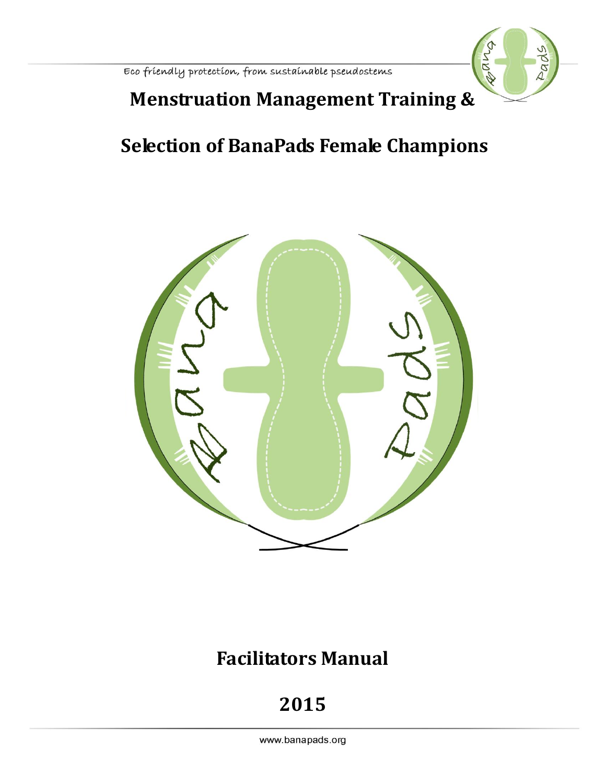

### **Menstruation Management Training &**

## **Selection of BanaPads Female Champions**



### **Facilitators Manual**

# **2015**

www.banapads.org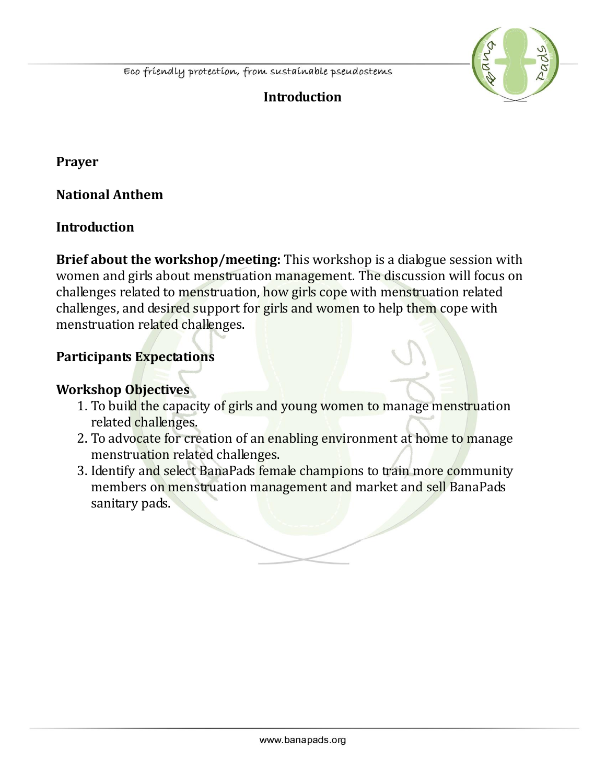

### **Introduction**

**Prayer**

**National Anthem**

#### **Introduction**

**Brief about the workshop/meeting:** This workshop is a dialogue session with women and girls about menstruation management. The discussion will focus on challenges related to menstruation, how girls cope with menstruation related challenges, and desired support for girls and women to help them cope with menstruation related challenges.

#### **Participants Expectations**

#### **Workshop Objectives**

- 1. To build the capacity of girls and young women to manage menstruation related challenges.
- 2. To advocate for creation of an enabling environment at home to manage menstruation related challenges.
- 3. Identify and select BanaPads female champions to train more community members on menstruation management and market and sell BanaPads sanitary pads.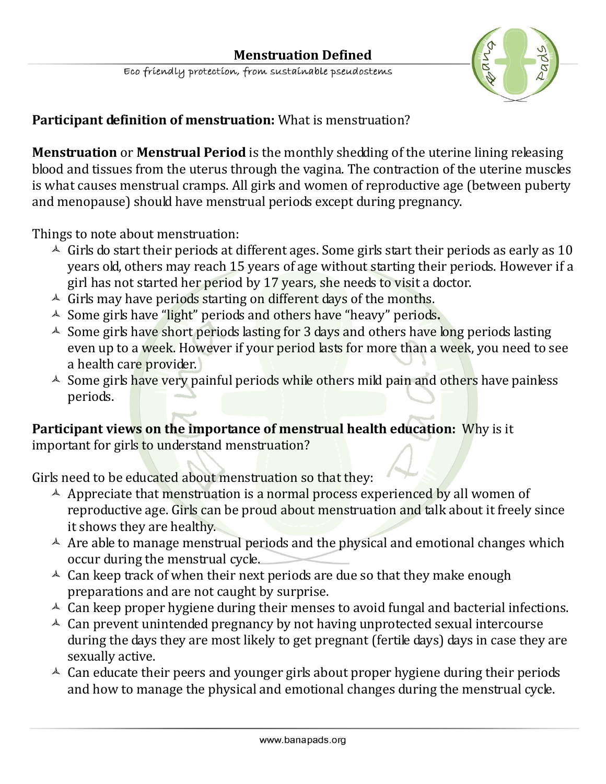

#### **Participant definition of menstruation:** What is menstruation?

**Menstruation** or **Menstrual Period** is the monthly shedding of the uterine lining releasing blood and tissues from the uterus through the vagina. The contraction of the uterine muscles is what causes menstrual cramps. All girls and women of reproductive age (between puberty and menopause) should have menstrual periods except during pregnancy.

Things to note about menstruation:

- $\triangle$  Girls do start their periods at different ages. Some girls start their periods as early as 10 years old, others may reach 15 years of age without starting their periods. However if a girl has not started her period by 17 years, she needs to visit a doctor.
- $\triangle$  Girls may have periods starting on different days of the months.
- Some girls have "light" periods and others have "heavy" periods**.**
- $\triangle$  Some girls have short periods lasting for 3 days and others have long periods lasting even up to a week. However if your period lasts for more than a week, you need to see a health care provider.
- $\triangle$  Some girls have very painful periods while others mild pain and others have painless periods.

**Participant views on the importance of menstrual health education:** Why is it important for girls to understand menstruation?

Girls need to be educated about menstruation so that they:

- $\triangle$  Appreciate that menstruation is a normal process experienced by all women of reproductive age. Girls can be proud about menstruation and talk about it freely since it shows they are healthy.
- $\triangle$  Are able to manage menstrual periods and the physical and emotional changes which occur during the menstrual cycle.
- $\triangle$  Can keep track of when their next periods are due so that they make enough preparations and are not caught by surprise.
- $\triangle$  Can keep proper hygiene during their menses to avoid fungal and bacterial infections.
- $\triangle$  Can prevent unintended pregnancy by not having unprotected sexual intercourse during the days they are most likely to get pregnant (fertile days) days in case they are sexually active.
- $\triangle$  Can educate their peers and younger girls about proper hygiene during their periods and how to manage the physical and emotional changes during the menstrual cycle.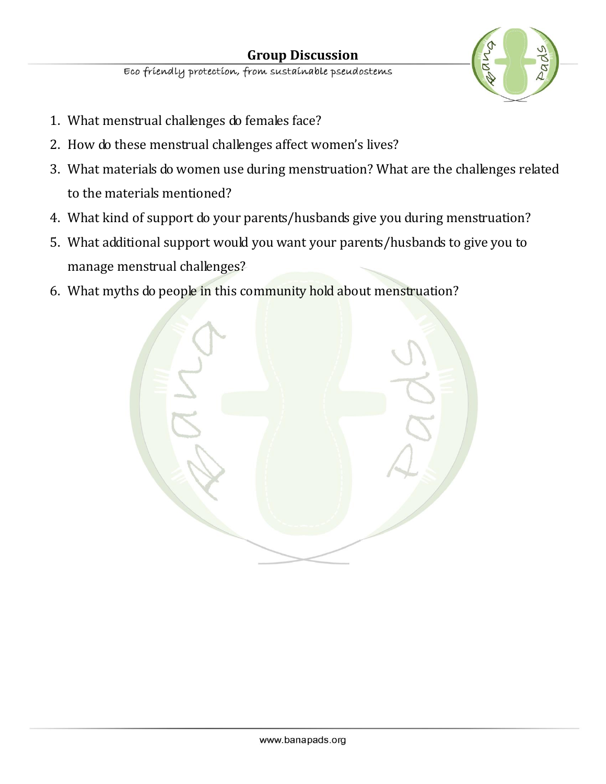

- 1. What menstrual challenges do females face?
- 2. How do these menstrual challenges affect women's lives?
- 3. What materials do women use during menstruation? What are the challenges related to the materials mentioned?
- 4. What kind of support do your parents/husbands give you during menstruation?
- 5. What additional support would you want your parents/husbands to give you to manage menstrual challenges?
- 6. What myths do people in this community hold about menstruation?

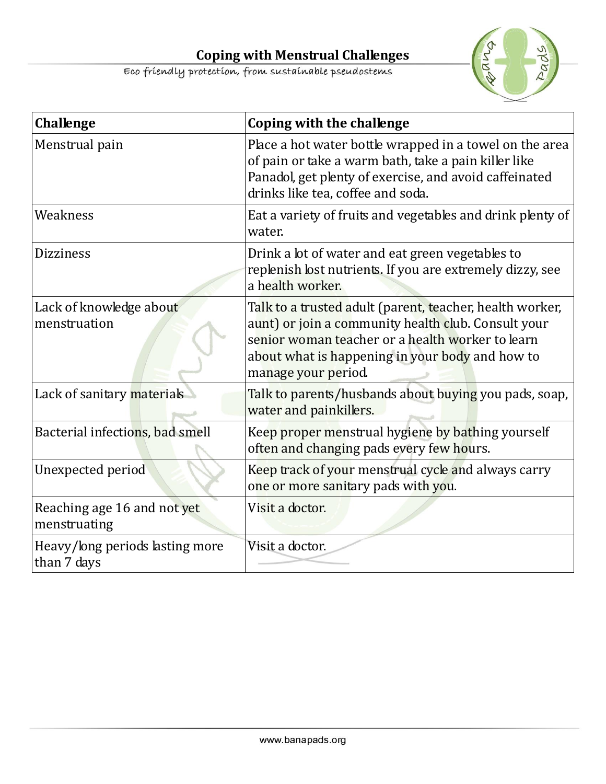**Coping with Menstrual Challenges**<br>Eco friendly protection, from sustainable pseudostems



| <b>Challenge</b>                               | Coping with the challenge                                                                                                                                                                                                                     |
|------------------------------------------------|-----------------------------------------------------------------------------------------------------------------------------------------------------------------------------------------------------------------------------------------------|
| Menstrual pain                                 | Place a hot water bottle wrapped in a towel on the area<br>of pain or take a warm bath, take a pain killer like<br>Panadol, get plenty of exercise, and avoid caffeinated<br>drinks like tea, coffee and soda.                                |
| Weakness                                       | Eat a variety of fruits and vegetables and drink plenty of<br>water.                                                                                                                                                                          |
| <b>Dizziness</b>                               | Drink a lot of water and eat green vegetables to<br>replenish lost nutrients. If you are extremely dizzy, see<br>a health worker.                                                                                                             |
| Lack of knowledge about<br>menstruation        | Talk to a trusted adult (parent, teacher, health worker,<br>aunt) or join a community health club. Consult your<br>senior woman teacher or a health worker to learn<br>about what is happening in your body and how to<br>manage your period. |
| Lack of sanitary materials                     | Talk to parents/husbands about buying you pads, soap,<br>water and painkillers.                                                                                                                                                               |
| Bacterial infections, bad smell                | Keep proper menstrual hygiene by bathing yourself<br>often and changing pads every few hours.                                                                                                                                                 |
| Unexpected period                              | Keep track of your menstrual cycle and always carry<br>one or more sanitary pads with you.                                                                                                                                                    |
| Reaching age 16 and not yet<br>menstruating    | Visit a doctor.                                                                                                                                                                                                                               |
| Heavy/long periods lasting more<br>than 7 days | Visit a doctor.                                                                                                                                                                                                                               |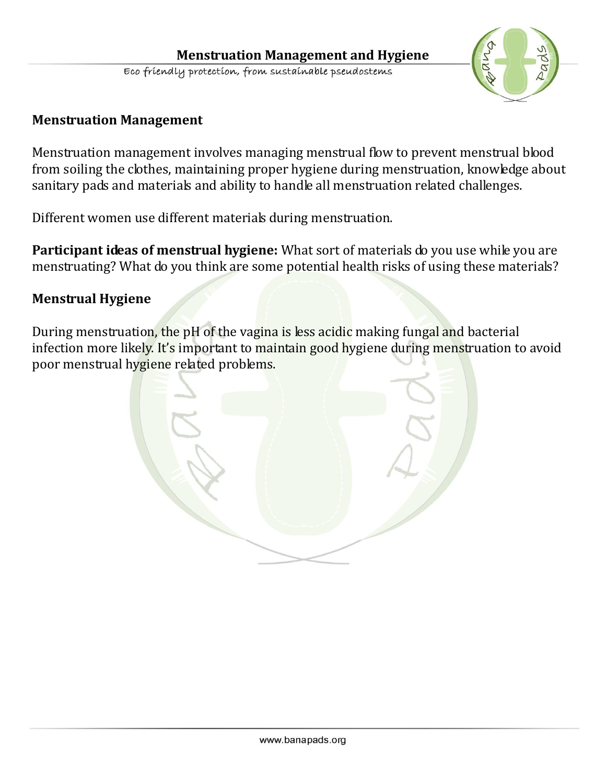

#### **Menstruation Management**

Menstruation management involves managing menstrual flow to prevent menstrual blood from soiling the clothes, maintaining proper hygiene during menstruation, knowledge about sanitary pads and materials and ability to handle all menstruation related challenges.

Different women use different materials during menstruation.

**Participant ideas of menstrual hygiene:** What sort of materials do you use while you are menstruating? What do you think are some potential health risks of using these materials?

#### **Menstrual Hygiene**

During menstruation, the pH of the vagina is less acidic making fungal and bacterial infection more likely. It's important to maintain good hygiene during menstruation to avoid poor menstrual hygiene related problems.

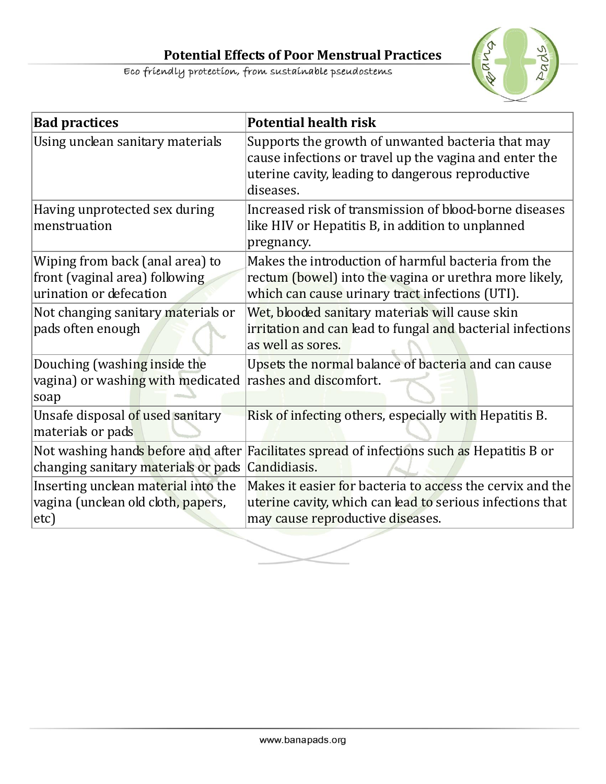

| <b>Bad practices</b>                                                                         | <b>Potential health risk</b>                                                                                                                                                  |
|----------------------------------------------------------------------------------------------|-------------------------------------------------------------------------------------------------------------------------------------------------------------------------------|
| Using unclean sanitary materials                                                             | Supports the growth of unwanted bacteria that may<br>cause infections or travel up the vagina and enter the<br>uterine cavity, leading to dangerous reproductive<br>diseases. |
| Having unprotected sex during<br>menstruation                                                | Increased risk of transmission of blood-borne diseases<br>like HIV or Hepatitis B, in addition to unplanned<br>pregnancy.                                                     |
| Wiping from back (anal area) to<br>front (vaginal area) following<br>urination or defecation | Makes the introduction of harmful bacteria from the<br>rectum (bowel) into the vagina or urethra more likely,<br>which can cause urinary tract infections (UTI).              |
| Not changing sanitary materials or<br>pads often enough                                      | Wet, blooded sanitary materials will cause skin<br>irritation and can lead to fungal and bacterial infections<br>as well as sores.                                            |
| Douching (washing inside the<br>vagina) or washing with medicated<br>soap                    | Upsets the normal balance of bacteria and can cause<br>rashes and discomfort.                                                                                                 |
| Unsafe disposal of used sanitary<br>materials or pads                                        | Risk of infecting others, especially with Hepatitis B.                                                                                                                        |
| changing sanitary materials or pads Candidiasis.                                             | Not washing hands before and after Facilitates spread of infections such as Hepatitis B or                                                                                    |
| Inserting unclean material into the<br>vagina (unclean old cloth, papers,<br>$ $ etc $)$     | Makes it easier for bacteria to access the cervix and the<br>uterine cavity, which can lead to serious infections that<br>may cause reproductive diseases.                    |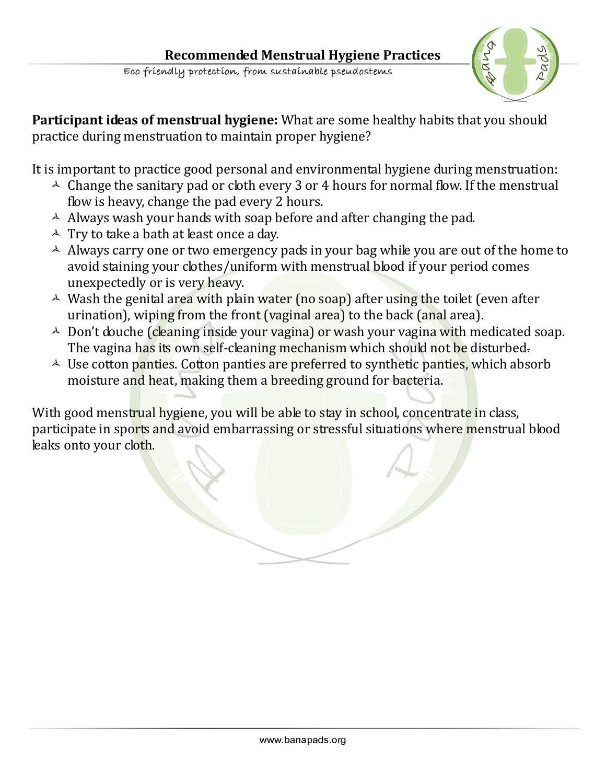

**Participant ideas of menstrual hygiene:** What are some healthy habits that you should practice during menstruation to maintain proper hygiene?

It is important to practice good personal and environmental hygiene during menstruation:

- $\triangle$  Change the sanitary pad or cloth every 3 or 4 hours for normal flow. If the menstrual flow is heavy, change the pad every 2 hours.
- $\triangle$  Always wash your hands with soap before and after changing the pad.
- $\triangle$  Try to take a bath at least once a day.
- $\triangle$  Always carry one or two emergency pads in your bag while you are out of the home to avoid staining your clothes/uniform with menstrual blood if your period comes unexpectedly or is very heavy.
- $\triangle$  Wash the genital area with plain water (no soap) after using the toilet (even after urination), wiping from the front (vaginal area) to the back (anal area).
- $\triangle$  Don't douche (cleaning inside your vagina) or wash your vagina with medicated soap. The vagina has its own self-cleaning mechanism which should not be disturbed.
- $\triangle$  Use cotton panties. Cotton panties are preferred to synthetic panties, which absorb moisture and heat, making them a breeding ground for bacteria.

With good menstrual hygiene, you will be able to stay in school, concentrate in class, participate in sports and avoid embarrassing or stressful situations where menstrual blood leaks onto your cloth.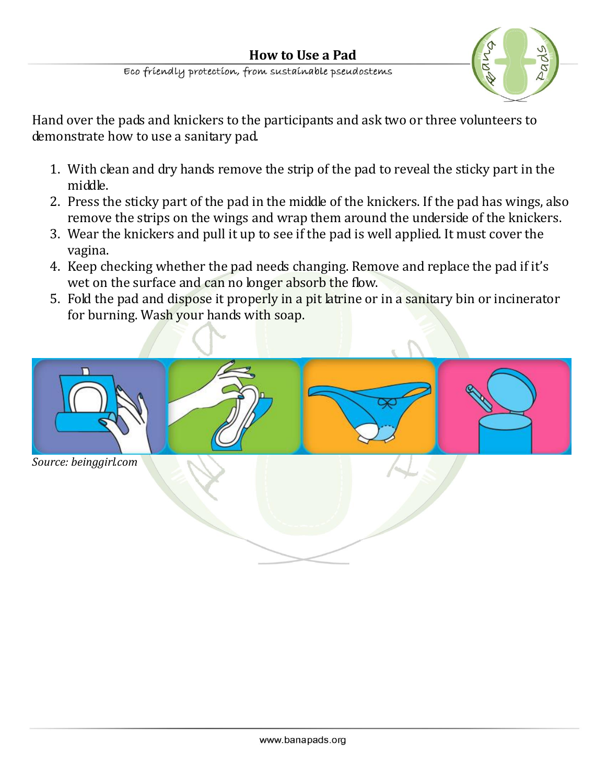**How to Use a Pad**<br>Eco friendly protection, from sustainable pseudostems



Hand over the pads and knickers to the participants and ask two or three volunteers to demonstrate how to use a sanitary pad.

- 1. With clean and dry hands remove the strip of the pad to reveal the sticky part in the middle.
- 2. Press the sticky part of the pad in the middle of the knickers. If the pad has wings, also remove the strips on the wings and wrap them around the underside of the knickers.
- 3. Wear the knickers and pull it up to see if the pad is well applied. It must cover the vagina.
- 4. Keep checking whether the pad needs changing. Remove and replace the pad if it's wet on the surface and can no longer absorb the flow.
- 5. Fold the pad and dispose it properly in a pit latrine or in a sanitary bin or incinerator for burning. Wash your hands with soap.

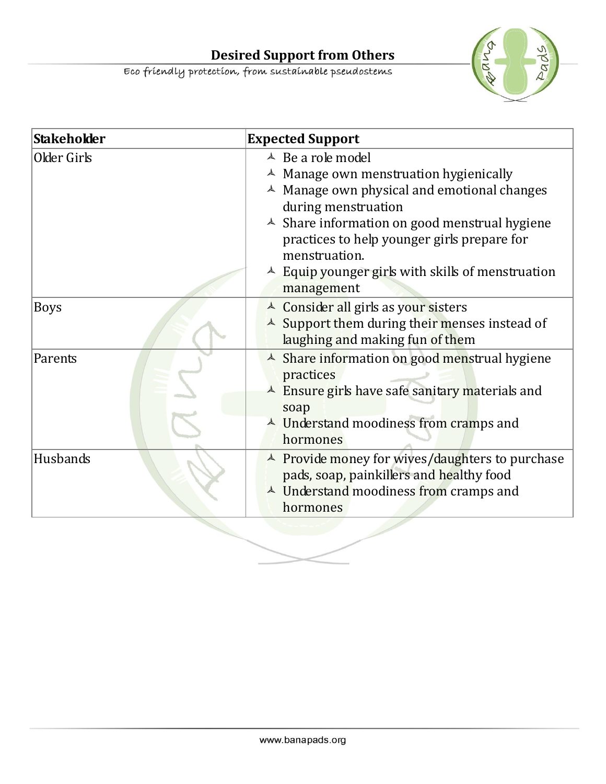**Desired Support from Others**<br>Eco friendly protection, from sustainable pseudostems



| Stakeholder | <b>Expected Support</b>                                                                                                                                                                                                                                                                                                                                                 |
|-------------|-------------------------------------------------------------------------------------------------------------------------------------------------------------------------------------------------------------------------------------------------------------------------------------------------------------------------------------------------------------------------|
| Older Girls | $\triangle$ Be a role model<br>$\triangle$ Manage own menstruation hygienically<br>$\triangle$ Manage own physical and emotional changes<br>during menstruation<br>$\triangle$ Share information on good menstrual hygiene<br>practices to help younger girls prepare for<br>menstruation.<br>$\triangle$ Equip younger girls with skills of menstruation<br>management |
| Boys        | $\triangle$ Consider all girls as your sisters<br>$\triangle$ Support them during their menses instead of<br>laughing and making fun of them                                                                                                                                                                                                                            |
| Parents     | $\triangle$ Share information on good menstrual hygiene<br>practices<br>$\triangle$ Ensure girls have safe sanitary materials and<br>soap<br><sup>A</sup> Understand moodiness from cramps and<br>hormones                                                                                                                                                              |
| Husbands    | $\triangle$ Provide money for wives/daughters to purchase<br>pads, soap, painkillers and healthy food<br><sup>A</sup> Understand moodiness from cramps and<br>hormones                                                                                                                                                                                                  |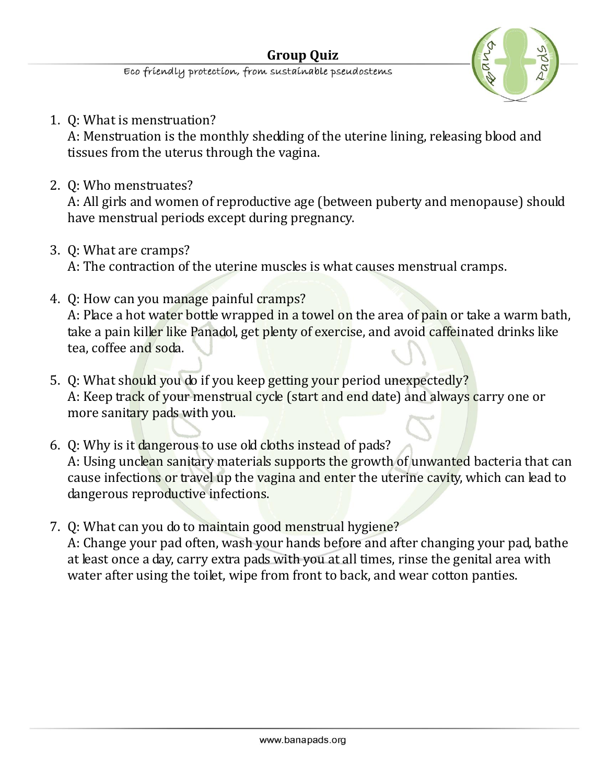

1. Q: What is menstruation?

A: Menstruation is the monthly shedding of the uterine lining, releasing blood and tissues from the uterus through the vagina.

2. Q: Who menstruates?

A: All girls and women of reproductive age (between puberty and menopause) should have menstrual periods except during pregnancy.

- 3. Q: What are cramps? A: The contraction of the uterine muscles is what causes menstrual cramps.
- 4. Q: How can you manage painful cramps?

A: Place a hot water bottle wrapped in a towel on the area of pain or take a warm bath, take a pain killer like Panadol, get plenty of exercise, and avoid caffeinated drinks like tea, coffee and soda.

- 5. Q: What should you do if you keep getting your period unexpectedly? A: Keep track of your menstrual cycle (start and end date) and always carry one or more sanitary pads with you.
- 6. Q: Why is it dangerous to use old cloths instead of pads? A: Using unclean sanitary materials supports the growth of unwanted bacteria that can cause infections or travel up the vagina and enter the uterine cavity, which can lead to dangerous reproductive infections.
- 7. Q: What can you do to maintain good menstrual hygiene? A: Change your pad often, wash your hands before and after changing your pad, bathe at least once a day, carry extra pads with you at all times, rinse the genital area with water after using the toilet, wipe from front to back, and wear cotton panties.